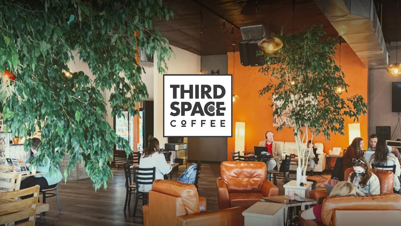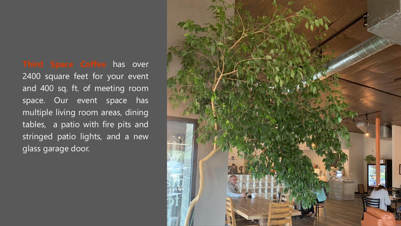**Third Space Coffee** has over 2400 square feet for your event and 400 sq. ft. of meeting room space. Our event space has multiple living room areas, dining tables, a patio with fire pits and stringed patio lights, and a new glass garage door.

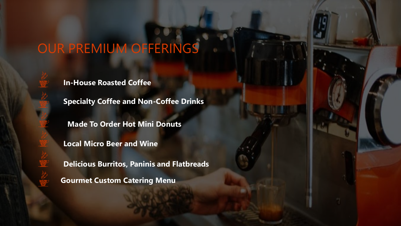# OUR PREMIUM OFFERINGS

**In-House Roasted Coffee**

**Specialty Coffee and Non-Coffee Drinks**

**Made To Order Hot Mini Donuts** 

**Local Micro Beer and Wine**

**Delicious Burritos, Paninis and Flatbreads**

**Gourmet Custom Catering Menu**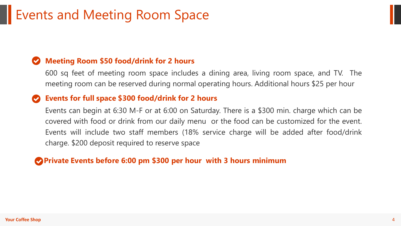# Events and Meeting Room Space

### **Meeting Room \$50 food/drink for 2 hours**

600 sq feet of meeting room space includes a dining area, living room space, and TV. The meeting room can be reserved during normal operating hours. Additional hours \$25 per hour

#### **Events for full space \$300 food/drink for 2 hours**

Events can begin at 6:30 M-F or at 6:00 on Saturday. There is a \$300 min. charge which can be covered with food or drink from our daily menu or the food can be customized for the event. Events will include two staff members (18% service charge will be added after food/drink charge. \$200 deposit required to reserve space

#### **Private Events before 6:00 pm \$300 per hour with 3 hours minimum**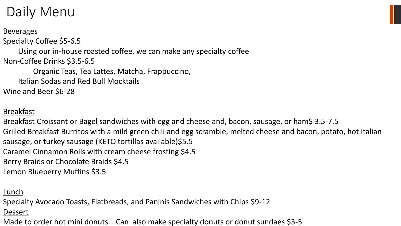# Daily Menu

**Beverages** 

Specialty Coffee \$5-6.5

Using our in-house roasted coffee, we can make any specialty coffee Non-Coffee Drinks \$3.5-6.5

Organic Teas, Tea Lattes, Matcha, Frappuccino,

Italian Sodas and Red Bull Mocktails

Wine and Beer \$6-28

## Breakfast

Breakfast Croissant or Bagel sandwiches with egg and cheese and, bacon, sausage, or ham\$ 3.5-7.5 Grilled Breakfast Burritos with a mild green chili and egg scramble, melted cheese and bacon, potato, hot italian sausage, or turkey sausage (KETO tortillas available)\$5.5 Caramel Cinnamon Rolls with cream cheese frosting \$4.5 Berry Braids or Chocolate Braids \$4.5 Lemon Blueberry Muffins \$3.5

### Lunch

Specialty Avocado Toasts, Flatbreads, and Paninis Sandwiches with Chips \$9-12

#### Dessert

Made to order hot mini donuts....Can also make specialty donuts or donut sundaes \$3-5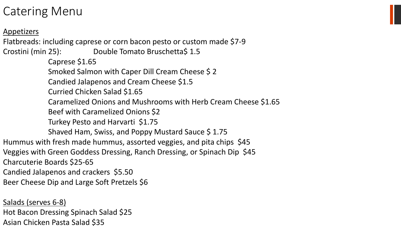## Catering Menu

Appetizers

Flatbreads: including caprese or corn bacon pesto or custom made \$7 - 9

Crostini (min 25): Double Tomato Bruschetta\$ 1.5 Caprese \$1.65 Smoked Salmon with Caper Dill Cream Cheese \$ 2 Candied Jalapenos and Cream Cheese \$1.5 Curried Chicken Salad \$1.65 Caramelized Onions and Mushrooms with Herb Cream Cheese \$1.65 Beef with Caramelized Onions \$2 Turkey Pesto and Harvarti \$1.75 Shaved Ham, Swiss, and Poppy Mustard Sauce \$1.75 Hummus with fresh made hummus, assorted veggies, and pita chips \$45 Veggies with Green Goddess Dressing, Ranch Dressing, or Spinach Dip \$45 Charcuterie Boards \$25 -65 Candied Jalapenos and crackers \$5.50

Beer Cheese Dip and Large Soft Pretzels \$6

Salads (serves 6 -8)

Asian Chicken Pasta Salad \$35 Hot Bacon Dressing Spinach Salad \$25